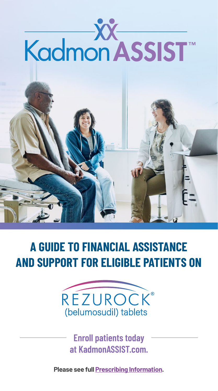

### **A GUIDE TO FINANCIAL ASSISTANCE AND SUPPORT FOR ELIGIBLE PATIENTS ON**



**Enroll patients today at [KadmonASSIST.com](https://kadmonassist.com/index.html?utm_source=kadmon_assist_website&utm_medium=printpiece&utm_campaign=mat-us-2202896&utm_content=kadmon_assist4).** 

**Please see full [Prescribing Information.](https://bit.ly/3uL3Wu9)**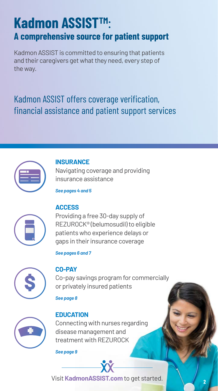### **Kadmon ASSISTTM**: **A comprehensive source for patient support**

Kadmon ASSIST is committed to ensuring that patients and their caregivers get what they need, every step of the way.

### Kadmon ASSIST offers coverage verification, financial assistance and patient support services



#### **INSURANCE**

Navigating coverage and providing insurance assistance

*See pages 4 and 5*



#### **ACCESS**

Providing a free 30-day supply of REZUROCK® (belumosudil) to eligible patients who experience delays or gaps in their insurance coverage

*[See pages 6 and 7](#page-5-0)*



#### **CO-PAY**

Co-pay savings program for commercially or privately insured patients

*See page 8*



#### **EDUCATION**

Connecting with nurses regarding disease management and treatment with REZUROCK

*See page 9*

Visit **[KadmonASSIST.com](https://kadmonassist.com/index.html?utm_source=kadmon_assist_website&utm_medium=printpiece&utm_campaign=mat-us-2202896&utm_content=kadmon_assist)** to get started.

**2**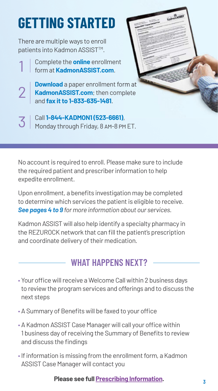# **GETTING STARTED**

There are multiple ways to enroll patients into Kadmon ASSIST<sup>™</sup>.

2

Complete the **online** enrollment form at **[KadmonASSIST.com](https://kadmonassist.com/index.html?utm_source=kadmon_assist_website&utm_medium=printpiece&utm_campaign=mat-us-2202896&utm_content=kadmon_assist2)**. 1

**Download** a paper enrollment form at [KadmonASSIST.com](https://kadmonassist.com/index.html?utm_source=kadmon_assist_website&utm_medium=printpiece&utm_campaign=mat-us-2202896&utm_content=kadmon_assist2); then complete and **fax it to 1-833-635-1481**.

Call **1-844-KADMON1 (523-6661)**, Monday through Friday, 8 am-8 pm ET. 3

No account is required to enroll. Please make sure to include the required patient and prescriber information to help expedite enrollment.

Upon enrollment, a benefits investigation may be completed to determine which services the patient is eligible to receive. *See pages 4 to 9 for more information about our services.*

Kadmon ASSIST will also help identify a specialty pharmacy in the REZUROCK network that can fill the patient's prescription and coordinate delivery of their medication.

### **WHAT HAPPENS NEXT?**

- Your office will receive a Welcome Call within 2 business days to review the program services and offerings and to discuss the next steps
- A Summary of Benefits will be faxed to your office
- A Kadmon ASSIST Case Manager will call your office within 1 business day of receiving the Summary of Benefits to review and discuss the findings
- If information is missing from the enrollment form, a Kadmon ASSIST Case Manager will contact you

#### **Please see full [Prescribing Information](https://bit.ly/3uL3Wu9). <sup>3</sup>**

Columbia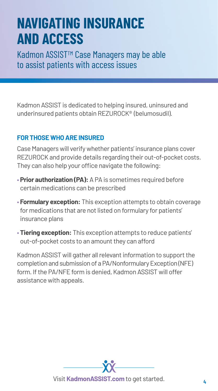## **NAVIGATING INSURANCE AND ACCESS**

Kadmon ASSIST<sup>™</sup> Case Managers may be able to assist patients with access issues

Kadmon ASSIST is dedicated to helping insured, uninsured and underinsured patients obtain REZUROCK® (belumosudil).

#### **FOR THOSE WHO ARE INSURED**

Case Managers will verify whether patients' insurance plans cover REZUROCK and provide details regarding their out-of-pocket costs. They can also help your office navigate the following:

- **Prior authorization (PA):** A PA is sometimes required before certain medications can be prescribed
- **Formulary exception:** This exception attempts to obtain coverage for medications that are not listed on formulary for patients' insurance plans
- **Tiering exception:** This exception attempts to reduce patients' out-of-pocket costs to an amount they can afford

Kadmon ASSIST will gather all relevant information to support the completion and submission of a PA/Nonformulary Exception (NFE) form. If the PA/NFE form is denied, Kadmon ASSIST will offer assistance with appeals.

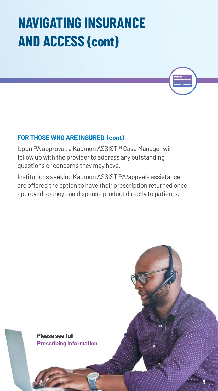# **NAVIGATING INSURANCE AND ACCESS (cont)**

#### **FOR THOSE WHO ARE INSURED (cont)**

Upon PA approval, a Kadmon ASSIST™ Case Manager will follow up with the provider to address any outstanding questions or concerns they may have.

Institutions seeking Kadmon ASSIST PA/appeals assistance are offered the option to have their prescription returned once approved so they can dispense product directly to patients.

**7**

Please see full<br>Prescribing Information.<br>**Prescribing Information. [Prescribing Information.](https://bit.ly/3uL3Wu9)**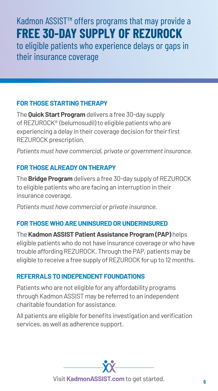### <span id="page-5-0"></span>Kadmon ASSIST™ offers programs that may provide a **FREE 30-DAY SUPPLY OF REZUROCK**

to eligible patients who experience delays or gaps in their insurance coverage

#### **FOR THOSE STARTING THERAPY**

The **Quick Start Program** delivers a free 30-day supply of REZUROCK® (belumosudil) to eligible patients who are experiencing a delay in their coverage decision for their first REZUROCK prescription.

*Patients must have commercial, private or government insurance.*

#### **FOR THOSE ALREADY ON THERAPY**

The **Bridge Program** delivers a free 30-day supply of REZUROCK to eligible patients who are facing an interruption in their insurance coverage.

*Patients must have commercial or private insurance.*

#### **FOR THOSE WHO ARE UNINSURED OR UNDERINSURED**

The **Kadmon ASSIST Patient Assistance Program (PAP)** helps eligible patients who do not have insurance coverage or who have trouble affording REZUROCK. Through the PAP, patients may be eligible to receive a free supply of REZUROCK for up to 12 months.

#### **REFERRALS TO INDEPENDENT FOUNDATIONS**

Patients who are not eligible for any affordability programs through Kadmon ASSIST may be referred to an independent charitable foundation for assistance.

All patients are eligible for benefits investigation and verification services, as well as adherence support.

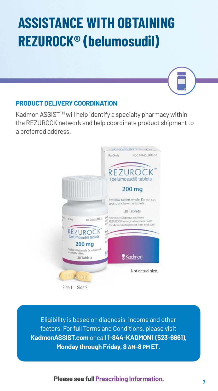# **ASSISTANCE WITH OBTAINING REZUROCK® (belumosudil)**

#### **PRODUCT DELIVERY COORDINATION**

Kadmon ASSIST™ will help identify a specialty pharmacy within the REZUROCK network and help coordinate product shipment to a preferred address.



Eligibility is based on diagnosis, income and other factors. For full Terms and Conditions, please visit **[KadmonASSIST.com](https://kadmonassist.com/?utm_source=kadmonassistbrochure&utm_medium=brochure&utm_campaign=matus2202896v1&utm_content=assistlink)** or call **1-844-KADMON1 (523-6661), Monday through Friday, 8 am-8 pm ET**.

#### **<sup>7</sup> Please see full [Prescribing Information](https://bit.ly/3uL3Wu9).**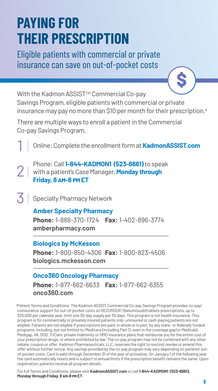## **PAYING FOR THEIR PRESCRIPTION**

Eligible patients with commercial or private insurance can save on out-of-pocket costs

With the Kadmon ASSIST™ Commercial Co-pay Savings Program, eligible patients with commercial or private insurance may pay no more than \$10 per month for their prescription.<sup>a</sup>

There are multiple ways to enroll a patient in the Commercial Co-pay Savings Program.

Online: Complete the enrollment form at**[KadmonASSIST.com](https://kadmonassist.com/index.html?utm_source=kadmon_assist_website&utm_medium=printpiece&utm_campaign=mat-us-2202896&utm_content=kadmon_assist_5)**

Phone: Call**1-844-KADMON1 (523-6661)**to speak with a patient's Case Manager, **Monday through Friday, 8 am-8 pm ET**

 $3$  Specialty Pharmacy Network

1

2

#### **Amber Specialty Pharmacy**

**Phone:** 1-888-370-1724 **Fax:** 1-402-896-3774 **[amberpharmacy.com](https://bit.ly/3M6EHbt)** 

#### **Biologics by McKesson**

**Phone:** 1-800-850-4306 **Fax:** 1-800-823-4506 **[biologics.mckesson.com](https://bit.ly/3uLXuTR)**

#### **Onco360 Oncology Pharmacy**

**Phone:** 1-877-662-6633 **Fax:** 1-877-662-6355 **[onco360.com](https://bit.ly/3Ogj0ri)**

a Patient Terms and Conditions: The Kadmon ASSIST Commercial Co-pay Savings Program provides co-pay/ coinsurance support for out-of-pocket costs on REZUROCK® (belumosudil) tablets prescriptions, up to \$25,000 per calendar year, limit one 30-day supply per 30 days. This program is not health insurance. This program is for commercially or privately insured patients only; uninsured or cash-paying patients are not eligible. Patients are not eligible if prescriptions are paid, in whole or in part, by any state- or federally funded programs, including, but not limited to, Medicare (including Part D, even in the coverage gap) or Medicaid, Medigap, VA, DOD, TriCare, private indemnity or HMO insurance plans that reimburse you for the entire cost of your prescription drugs, or where prohibited by law. The co-pay program may not be combined with any other rebate, coupon or offer. Kadmon Pharmaceuticals, LLC, reserves the right to rescind, revoke or amend this offer without further notice. Any savings provided by the co-pay program may vary depending on patients' outof-pocket costs. Card is valid through December 31 of the year of activation. On January 1 of the following year, the card automatically resets and is subject to annual limits if the prescription benefit remains the same. Upon registration, patients receive all program details.

 For full Terms and Conditions, please visit **[KadmonASSIST.com](https://kadmonassist.com/?utm_source=kadmonassistbrochure&utm_medium=brochure&utm_campaign=matus2202896v1&utm_content=assistlink)** or call **1-844-KADMON1 (523-6661), Monday through Friday, 8 am-8 pm ET**.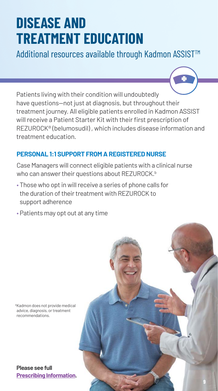# **DISEASE AND TREATMENT EDUCATION**

Additional resources available through Kadmon ASSIST<sup>™</sup>

Patients living with their condition will undoubtedly have questions—not just at diagnosis, but throughout their treatment journey. All eligible patients enrolled in Kadmon ASSIST will receive a Patient Starter Kit with their first prescription of REZUROCK® (belumosudil) , which includes disease information and treatment education.

#### **PERSONAL 1:1 SUPPORT FROM A REGISTERED NURSE**

Case Managers will connect eligible patients with a clinical nurse who can answer their questions about REZUROCK.<sup>b</sup>

- Those who opt in will receive a series of phone calls for the duration of their treatment with REZUROCK to support adherence
- Patients may opt out at any time



**Please see full [Prescribing Information.](https://bit.ly/3uL3Wu9)**